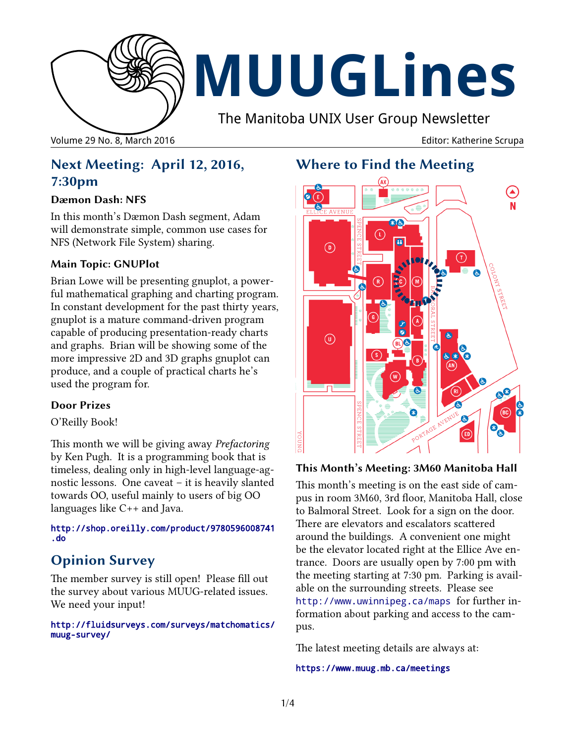

Volume 29 No. 8, March 2016 Editor: Katherine Scrupa

# **Next Meeting: April 12, 2016, 7:30pm**

### **Dæmon Dash: NFS**

In this month's Dæmon Dash segment, Adam will demonstrate simple, common use cases for NFS (Network File System) sharing.

### **Main Topic: GNUPlot**

Brian Lowe will be presenting gnuplot, a powerful mathematical graphing and charting program. In constant development for the past thirty years, gnuplot is a mature command-driven program capable of producing presentation-ready charts and graphs. Brian will be showing some of the more impressive 2D and 3D graphs gnuplot can produce, and a couple of practical charts he's used the program for.

### **Door Prizes**

O'Reilly Book!

This month we will be giving away *Prefactoring* by Ken Pugh. It is a programming book that is timeless, dealing only in high-level language-agnostic lessons. One caveat – it is heavily slanted towards OO, useful mainly to users of big OO languages like C++ and Java.

### [http://shop.oreilly.com/product/9780596008741](http://shop.oreilly.com/product/9780596008741.do) [.do](http://shop.oreilly.com/product/9780596008741.do)

# **Opinion Survey**

The member survey is still open! Please fill out the survey about various MUUG-related issues. We need your input!

### http://fluidsurveys.com/surveys/matchomatics/ muug-survey/

# **Where to Find the Meeting**



### **This Month's Meeting: 3M60 Manitoba Hall**

This month's meeting is on the east side of campus in room 3M60, 3rd floor, Manitoba Hall, close to Balmoral Street. Look for a sign on the door. There are elevators and escalators scattered around the buildings. A convenient one might be the elevator located right at the Ellice Ave entrance. Doors are usually open by 7:00 pm with the meeting starting at 7:30 pm. Parking is available on the surrounding streets. Please see <http://www.uwinnipeg.ca/maps> for further information about parking and access to the campus.

The latest meeting details are always at:

### https://www.muug.mb.ca/meetings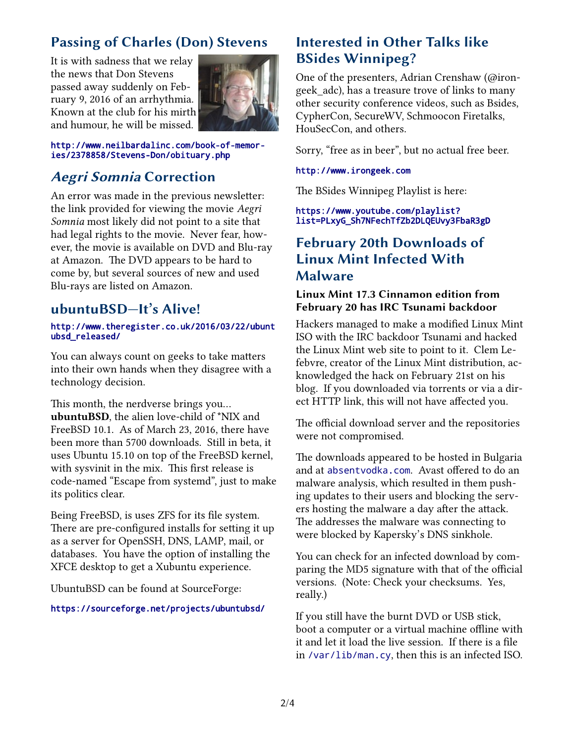# **Passing of Charles (Don) Stevens**

It is with sadness that we relay the news that Don Stevens passed away suddenly on February 9, 2016 of an arrhythmia. Known at the club for his mirth and humour, he will be missed.



http://www.neilbardalinc.com/book-of-memories/2378858/Stevens-Don/obituary.php

# **Aegri Somnia Correction**

An error was made in the previous newsletter: the link provided for viewing the movie *Aegri Somnia* most likely did not point to a site that had legal rights to the movie. Never fear, however, the movie is available on DVD and Blu-ray at Amazon. The DVD appears to be hard to come by, but several sources of new and used Blu-rays are listed on Amazon.

## **ubuntuBSD—It's Alive!**

### http://www.theregister.co.uk/2016/03/22/ubunt ubsd\_released/

You can always count on geeks to take matters into their own hands when they disagree with a technology decision.

This month, the nerdverse brings you... **ubuntuBSD**, the alien love-child of \*NIX and FreeBSD 10.1. As of March 23, 2016, there have been more than 5700 downloads. Still in beta, it uses Ubuntu 15.10 on top of the FreeBSD kernel, with sysvinit in the mix. This first release is code-named "Escape from systemd", just to make its politics clear.

Being FreeBSD, is uses ZFS for its file system. There are pre-configured installs for setting it up as a server for OpenSSH, DNS, LAMP, mail, or databases. You have the option of installing the XFCE desktop to get a Xubuntu experience.

UbuntuBSD can be found at SourceForge:

### https://sourceforge.net/projects/ubuntubsd/

## **Interested in Other Talks like BSides Winnipeg?**

One of the presenters, Adrian Crenshaw (@irongeek\_adc), has a treasure trove of links to many other security conference videos, such as Bsides, CypherCon, SecureWV, Schmoocon Firetalks, HouSecCon, and others.

Sorry, "free as in beer", but no actual free beer.

### http://www.irongeek.com

The BSides Winnipeg Playlist is here:

### [https://www.youtube.com/playlist?](https://www.youtube.com/playlist?list=PLxyG_Sh7NFechTfZb2DLQEUvy3FbaR3gD) [list=PLxyG\\_Sh7NFechTfZb2DLQEUvy3FbaR3gD](https://www.youtube.com/playlist?list=PLxyG_Sh7NFechTfZb2DLQEUvy3FbaR3gD)

# **February 20th Downloads of Linux Mint Infected With Malware**

### **Linux Mint 17.3 Cinnamon edition from February 20 has IRC Tsunami backdoor**

Hackers managed to make a modified Linux Mint ISO with the IRC backdoor Tsunami and hacked the Linux Mint web site to point to it. Clem Lefebvre, creator of the Linux Mint distribution, acknowledged the hack on February 21st on his blog. If you downloaded via torrents or via a direct HTTP link, this will not have affected you.

The official download server and the repositories were not compromised.

The downloads appeared to be hosted in Bulgaria and at absentvodka.com. Avast offered to do an malware analysis, which resulted in them pushing updates to their users and blocking the servers hosting the malware a day after the attack. The addresses the malware was connecting to were blocked by Kapersky's DNS sinkhole.

You can check for an infected download by comparing the MD5 signature with that of the official versions. (Note: Check your checksums. Yes, really.)

If you still have the burnt DVD or USB stick, boot a computer or a virtual machine offline with it and let it load the live session. If there is a file in /var/lib/man.cy, then this is an infected ISO.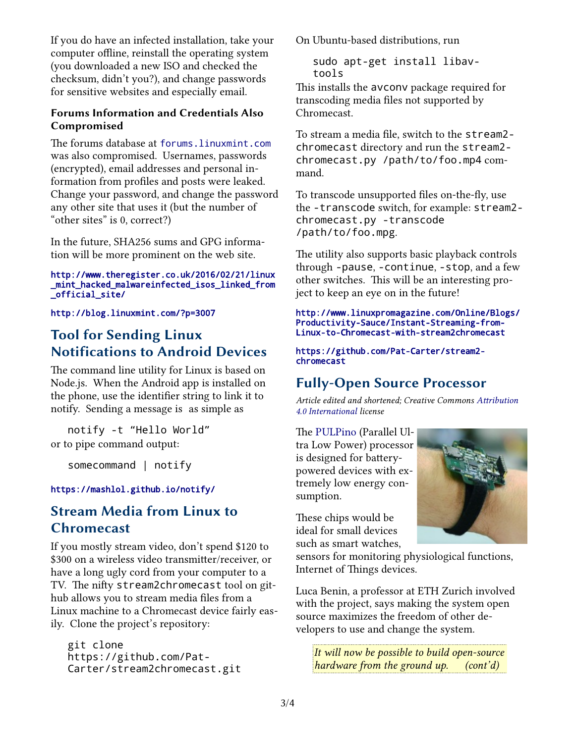If you do have an infected installation, take your computer offline, reinstall the operating system (you downloaded a new ISO and checked the checksum, didn't you?), and change passwords for sensitive websites and especially email.

### **Forums Information and Credentials Also Compromised**

The forums database at forums.linuxmint.com was also compromised. Usernames, passwords (encrypted), email addresses and personal information from profiles and posts were leaked. Change your password, and change the password any other site that uses it (but the number of "other sites" is 0, correct?)

In the future, SHA256 sums and GPG information will be more prominent on the web site.

#### http://www.theregister.co.uk/2016/02/21/linux \_mint\_hacked\_malwareinfected\_isos\_linked\_from \_official\_site/

<http://blog.linuxmint.com/?p=3007>

# **Tool for Sending Linux Notifications to Android Devices**

The command line utility for Linux is based on Node.js. When the Android app is installed on the phone, use the identifier string to link it to notify. Sending a message is as simple as

notify -t "Hello World" or to pipe command output:

somecommand | notify

### <https://mashlol.github.io/notify/>

# **Stream Media from Linux to Chromecast**

If you mostly stream video, don't spend \$120 to \$300 on a wireless video transmitter/receiver, or have a long ugly cord from your computer to a TV. The nifty stream2chromecast tool on github allows you to stream media files from a Linux machine to a Chromecast device fairly easily. Clone the project's repository:

git clone https://github.com/Pat-Carter/stream2chromecast.git On Ubuntu-based distributions, run

sudo apt-get install libavtools

This installs the avconv package required for transcoding media files not supported by Chromecast.

To stream a media file, switch to the stream2 chromecast directory and run the stream2 chromecast.py /path/to/foo.mp4 command.

To transcode unsupported files on-the-fly, use the -transcode switch, for example: stream2 chromecast.py -transcode /path/to/foo.mpg.

The utility also supports basic playback controls through -pause, -continue, -stop, and a few other switches. This will be an interesting project to keep an eye on in the future!

http://www.linuxpromagazine.com/Online/Blogs/ Productivity-Sauce/Instant-Streaming-from-Linux-to-Chromecast-with-stream2chromecast

#### [https://github.com/Pat-Carter/stream2](https://github.com/Pat-Carter/stream2chromecast) [chromecast](https://github.com/Pat-Carter/stream2chromecast)

# **Fully-Open Source Processor**

*Article edited and shortened; Creative Commons [Attribution](http://creativecommons.org/licenses/by/4.0/)  [4.0 International](http://creativecommons.org/licenses/by/4.0/) license*

The [PULPino](http://iis-projects.ee.ethz.ch/index.php/PULP) (Parallel Ultra Low Power) processor is designed for batterypowered devices with extremely low energy consumption.

These chips would be ideal for small devices such as smart watches,

sensors for monitoring physiological functions, Internet of Things devices.

Luca Benin, a professor at ETH Zurich involved with the project, says making the system open source maximizes the freedom of other developers to use and change the system.

*It will now be possible to build open-source hardware from the ground up. (cont'd)*